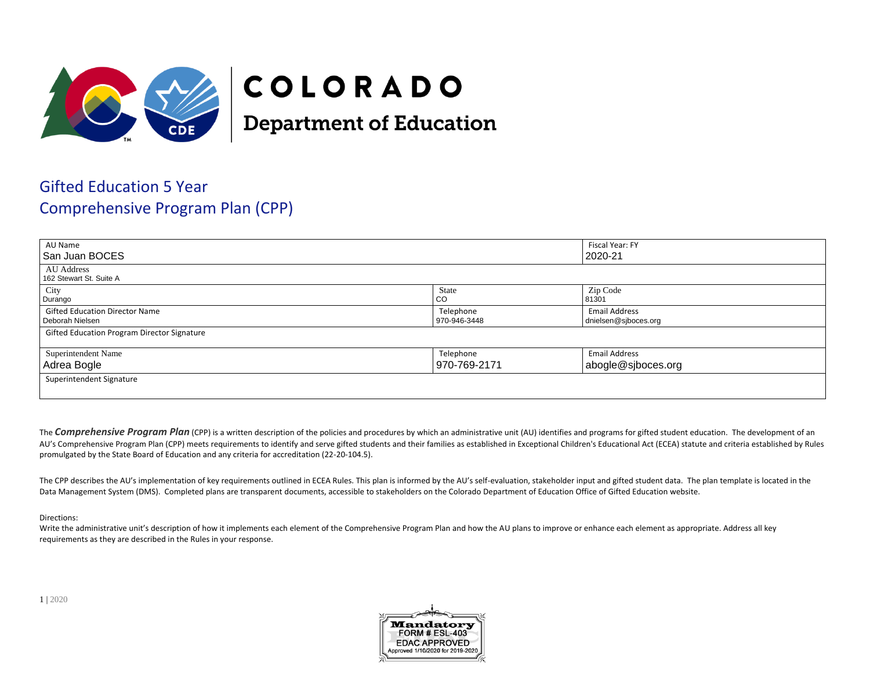

## COLORADO

**Department of Education** 

## Gifted Education 5 Year Comprehensive Program Plan (CPP)

| AU Name                                                  |                           | Fiscal Year: FY                              |  |
|----------------------------------------------------------|---------------------------|----------------------------------------------|--|
| l San Juan BOCES                                         |                           | 2020-21                                      |  |
| AU Address<br>162 Stewart St. Suite A                    |                           |                                              |  |
| City<br>Durango                                          | State<br>CO               | Zip Code<br>81301                            |  |
| <b>Gifted Education Director Name</b><br>Deborah Nielsen | Telephone<br>970-946-3448 | <b>Email Address</b><br>dnielsen@sjboces.org |  |
| <b>Gifted Education Program Director Signature</b>       |                           |                                              |  |
| Superintendent Name                                      | Telephone                 | <b>Email Address</b>                         |  |
| Adrea Bogle                                              | 970-769-2171              | abogle@sjboces.org                           |  |
| Superintendent Signature                                 |                           |                                              |  |
|                                                          |                           |                                              |  |

The **Comprehensive Program Plan** (CPP) is a written description of the policies and procedures by which an administrative unit (AU) identifies and programs for gifted student education. The development of an AU's Comprehensive Program Plan (CPP) meets requirements to identify and serve gifted students and their families as established in Exceptional Children's Educational Act (ECEA) statute and criteria established by Rules promulgated by the State Board of Education and any criteria for accreditation (22-20-104.5).

The CPP describes the AU's implementation of key requirements outlined in ECEA Rules. This plan is informed by the AU's self-evaluation, stakeholder input and gifted student data. The plan template is located in the Data Management System (DMS). Completed plans are transparent documents, accessible to stakeholders on the Colorado Department of Education Office of Gifted Education website.

## Directions:

Write the administrative unit's description of how it implements each element of the Comprehensive Program Plan and how the AU plans to improve or enhance each element as appropriate. Address all key requirements as they are described in the Rules in your response.

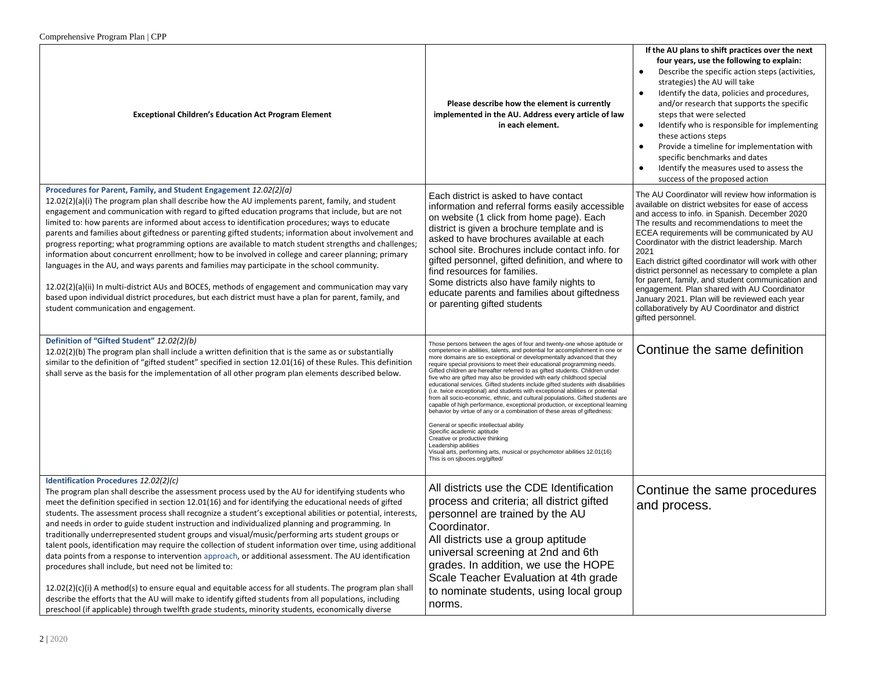| <b>Exceptional Children's Education Act Program Element</b>                                                                                                                                                                                                                                                                                                                                                                                                                                                                                                                                                                                                                                                                                                                                                                                                                                                                                                                                                                                                                                                                                                                              | Please describe how the element is currently<br>implemented in the AU. Address every article of law<br>in each element.                                                                                                                                                                                                                                                                                                                                                                                                                                                                                                                                                                                                                                                                                                                                                                                                                                                                                                                                                                                                                   | If the AU plans to shift practices over the next<br>four years, use the following to explain:<br>Describe the specific action steps (activities,<br>strategies) the AU will take<br>Identify the data, policies and procedures,<br>and/or research that supports the specific<br>steps that were selected<br>Identify who is responsible for implementing<br>these actions steps<br>Provide a timeline for implementation with<br>specific benchmarks and dates<br>Identify the measures used to assess the<br>success of the proposed action                                                                                                                |
|------------------------------------------------------------------------------------------------------------------------------------------------------------------------------------------------------------------------------------------------------------------------------------------------------------------------------------------------------------------------------------------------------------------------------------------------------------------------------------------------------------------------------------------------------------------------------------------------------------------------------------------------------------------------------------------------------------------------------------------------------------------------------------------------------------------------------------------------------------------------------------------------------------------------------------------------------------------------------------------------------------------------------------------------------------------------------------------------------------------------------------------------------------------------------------------|-------------------------------------------------------------------------------------------------------------------------------------------------------------------------------------------------------------------------------------------------------------------------------------------------------------------------------------------------------------------------------------------------------------------------------------------------------------------------------------------------------------------------------------------------------------------------------------------------------------------------------------------------------------------------------------------------------------------------------------------------------------------------------------------------------------------------------------------------------------------------------------------------------------------------------------------------------------------------------------------------------------------------------------------------------------------------------------------------------------------------------------------|--------------------------------------------------------------------------------------------------------------------------------------------------------------------------------------------------------------------------------------------------------------------------------------------------------------------------------------------------------------------------------------------------------------------------------------------------------------------------------------------------------------------------------------------------------------------------------------------------------------------------------------------------------------|
| Procedures for Parent, Family, and Student Engagement 12.02(2)(a)<br>$12.02(2)(a)(i)$ The program plan shall describe how the AU implements parent, family, and student<br>engagement and communication with regard to gifted education programs that include, but are not<br>limited to: how parents are informed about access to identification procedures; ways to educate<br>parents and families about giftedness or parenting gifted students; information about involvement and<br>progress reporting; what programming options are available to match student strengths and challenges;<br>information about concurrent enrollment; how to be involved in college and career planning; primary<br>languages in the AU, and ways parents and families may participate in the school community.<br>12.02(2)(a)(ii) In multi-district AUs and BOCES, methods of engagement and communication may vary<br>based upon individual district procedures, but each district must have a plan for parent, family, and<br>student communication and engagement.                                                                                                                             | Each district is asked to have contact<br>information and referral forms easily accessible<br>on website (1 click from home page). Each<br>district is given a brochure template and is<br>asked to have brochures available at each<br>school site. Brochures include contact info. for<br>gifted personnel, gifted definition, and where to<br>find resources for families.<br>Some districts also have family nights to<br>educate parents and families about giftedness<br>or parenting gifted students                                                                                                                                                                                                                                                                                                                                                                                                                                                                                                                                                                                                                               | The AU Coordinator will review how information is<br>available on district websites for ease of access<br>and access to info. in Spanish. December 2020<br>The results and recommendations to meet the<br>ECEA requirements will be communicated by AU<br>Coordinator with the district leadership. March<br>2021<br>Each district gifted coordinator will work with other<br>district personnel as necessary to complete a plan<br>for parent, family, and student communication and<br>engagement. Plan shared with AU Coordinator<br>January 2021. Plan will be reviewed each year<br>collaboratively by AU Coordinator and district<br>gifted personnel. |
| Definition of "Gifted Student" 12.02(2)(b)<br>12.02(2)(b) The program plan shall include a written definition that is the same as or substantially<br>similar to the definition of "gifted student" specified in section 12.01(16) of these Rules. This definition<br>shall serve as the basis for the implementation of all other program plan elements described below.                                                                                                                                                                                                                                                                                                                                                                                                                                                                                                                                                                                                                                                                                                                                                                                                                | Those persons between the ages of four and twenty-one whose aptitude or<br>competence in abilities, talents, and potential for accomplishment in one or<br>more domains are so exceptional or developmentally advanced that they<br>require special provisions to meet their educational programming needs.<br>Gifted children are hereafter referred to as gifted students. Children under<br>five who are gifted may also be provided with early childhood special<br>educational services. Gifted students include gifted students with disabilities<br>(i.e. twice exceptional) and students with exceptional abilities or potential<br>from all socio-economic, ethnic, and cultural populations. Gifted students are<br>capable of high performance, exceptional production, or exceptional learning<br>behavior by virtue of any or a combination of these areas of giftedness:<br>General or specific intellectual ability<br>Specific academic aptitude<br>Creative or productive thinking<br>Leadership abilities<br>Visual arts, performing arts, musical or psychomotor abilities 12.01(16)<br>This is on sjboces.org/gifted/ | Continue the same definition                                                                                                                                                                                                                                                                                                                                                                                                                                                                                                                                                                                                                                 |
| Identification Procedures 12.02(2)(c)<br>The program plan shall describe the assessment process used by the AU for identifying students who<br>meet the definition specified in section 12.01(16) and for identifying the educational needs of gifted<br>students. The assessment process shall recognize a student's exceptional abilities or potential, interests,<br>and needs in order to guide student instruction and individualized planning and programming. In<br>traditionally underrepresented student groups and visual/music/performing arts student groups or<br>talent pools, identification may require the collection of student information over time, using additional<br>data points from a response to intervention approach, or additional assessment. The AU identification<br>procedures shall include, but need not be limited to:<br>$12.02(2)(c)(i)$ A method(s) to ensure equal and equitable access for all students. The program plan shall<br>describe the efforts that the AU will make to identify gifted students from all populations, including<br>preschool (if applicable) through twelfth grade students, minority students, economically diverse | All districts use the CDE Identification<br>process and criteria; all district gifted<br>personnel are trained by the AU<br>Coordinator.<br>All districts use a group aptitude<br>universal screening at 2nd and 6th<br>grades. In addition, we use the HOPE<br>Scale Teacher Evaluation at 4th grade<br>to nominate students, using local group<br>norms.                                                                                                                                                                                                                                                                                                                                                                                                                                                                                                                                                                                                                                                                                                                                                                                | Continue the same procedures<br>and process.                                                                                                                                                                                                                                                                                                                                                                                                                                                                                                                                                                                                                 |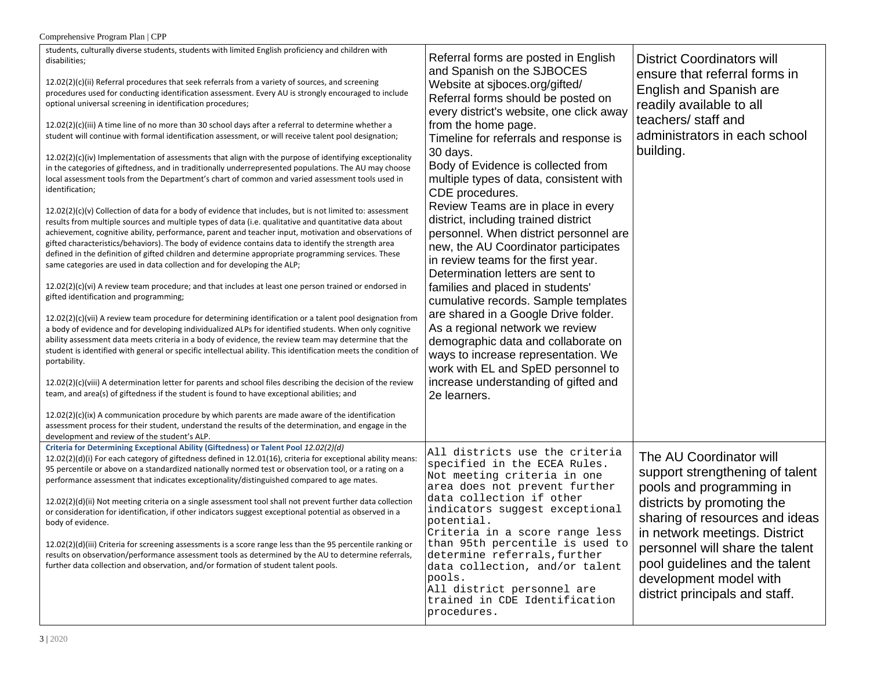| Comprehensive Program Plan   CPP                                                                                                                                                                                                                                                                                                                                                                                                                                                                                                                                                                                                                                                                                                                                                                                                                                                                                                                                                                                                                                                                                                                                                                                                                                                                                                                                                                                                                                                                                                                                                                                                                                                                                                                                                                                                                                                                                                                                                                                                                                                                                                                                                                                                                                                                                                                                                                                                                                                                                                                                                                                                                                                        |                                                                                                                                                                                                                                                                                                                                                                                                                                                                                                                                                                                                                                                                                                                                                                                                                                                                                                                                                        |                                                                                                                                                                                                                                                                                                                          |
|-----------------------------------------------------------------------------------------------------------------------------------------------------------------------------------------------------------------------------------------------------------------------------------------------------------------------------------------------------------------------------------------------------------------------------------------------------------------------------------------------------------------------------------------------------------------------------------------------------------------------------------------------------------------------------------------------------------------------------------------------------------------------------------------------------------------------------------------------------------------------------------------------------------------------------------------------------------------------------------------------------------------------------------------------------------------------------------------------------------------------------------------------------------------------------------------------------------------------------------------------------------------------------------------------------------------------------------------------------------------------------------------------------------------------------------------------------------------------------------------------------------------------------------------------------------------------------------------------------------------------------------------------------------------------------------------------------------------------------------------------------------------------------------------------------------------------------------------------------------------------------------------------------------------------------------------------------------------------------------------------------------------------------------------------------------------------------------------------------------------------------------------------------------------------------------------------------------------------------------------------------------------------------------------------------------------------------------------------------------------------------------------------------------------------------------------------------------------------------------------------------------------------------------------------------------------------------------------------------------------------------------------------------------------------------------------|--------------------------------------------------------------------------------------------------------------------------------------------------------------------------------------------------------------------------------------------------------------------------------------------------------------------------------------------------------------------------------------------------------------------------------------------------------------------------------------------------------------------------------------------------------------------------------------------------------------------------------------------------------------------------------------------------------------------------------------------------------------------------------------------------------------------------------------------------------------------------------------------------------------------------------------------------------|--------------------------------------------------------------------------------------------------------------------------------------------------------------------------------------------------------------------------------------------------------------------------------------------------------------------------|
| students, culturally diverse students, students with limited English proficiency and children with<br>disabilities;<br>12.02(2)(c)(ii) Referral procedures that seek referrals from a variety of sources, and screening<br>procedures used for conducting identification assessment. Every AU is strongly encouraged to include<br>optional universal screening in identification procedures;<br>$12.02(2)(c)(iii)$ A time line of no more than 30 school days after a referral to determine whether a<br>student will continue with formal identification assessment, or will receive talent pool designation;<br>12.02(2)(c)(iv) Implementation of assessments that align with the purpose of identifying exceptionality<br>in the categories of giftedness, and in traditionally underrepresented populations. The AU may choose<br>local assessment tools from the Department's chart of common and varied assessment tools used in<br>identification;<br>$12.02(2)(c)(v)$ Collection of data for a body of evidence that includes, but is not limited to: assessment<br>results from multiple sources and multiple types of data (i.e. qualitative and quantitative data about<br>achievement, cognitive ability, performance, parent and teacher input, motivation and observations of<br>gifted characteristics/behaviors). The body of evidence contains data to identify the strength area<br>defined in the definition of gifted children and determine appropriate programming services. These<br>same categories are used in data collection and for developing the ALP;<br>$12.02(2)(c)(vi)$ A review team procedure; and that includes at least one person trained or endorsed in<br>gifted identification and programming;<br>12.02(2)(c)(vii) A review team procedure for determining identification or a talent pool designation from<br>a body of evidence and for developing individualized ALPs for identified students. When only cognitive<br>ability assessment data meets criteria in a body of evidence, the review team may determine that the<br>student is identified with general or specific intellectual ability. This identification meets the condition of<br>portability.<br>$12.02(2)(c)(viii)$ A determination letter for parents and school files describing the decision of the review<br>team, and area(s) of giftedness if the student is found to have exceptional abilities; and<br>$12.02(2)(c)(ix)$ A communication procedure by which parents are made aware of the identification<br>assessment process for their student, understand the results of the determination, and engage in the<br>development and review of the student's ALP. | Referral forms are posted in English<br>and Spanish on the SJBOCES<br>Website at sjboces.org/gifted/<br>Referral forms should be posted on<br>every district's website, one click away<br>from the home page.<br>Timeline for referrals and response is<br>30 days.<br>Body of Evidence is collected from<br>multiple types of data, consistent with<br>CDE procedures.<br>Review Teams are in place in every<br>district, including trained district<br>personnel. When district personnel are<br>new, the AU Coordinator participates<br>in review teams for the first year.<br>Determination letters are sent to<br>families and placed in students'<br>cumulative records. Sample templates<br>are shared in a Google Drive folder.<br>As a regional network we review<br>demographic data and collaborate on<br>ways to increase representation. We<br>work with EL and SpED personnel to<br>increase understanding of gifted and<br>2e learners. | <b>District Coordinators will</b><br>ensure that referral forms in<br>English and Spanish are<br>readily available to all<br>teachers/ staff and<br>administrators in each school<br>building.                                                                                                                           |
| Criteria for Determining Exceptional Ability (Giftedness) or Talent Pool 12.02(2)(d)<br>$12.02(2)(d)(i)$ For each category of giftedness defined in 12.01(16), criteria for exceptional ability means:<br>95 percentile or above on a standardized nationally normed test or observation tool, or a rating on a<br>performance assessment that indicates exceptionality/distinguished compared to age mates.<br>12.02(2)(d)(ii) Not meeting criteria on a single assessment tool shall not prevent further data collection<br>or consideration for identification, if other indicators suggest exceptional potential as observed in a<br>body of evidence.<br>12.02(2)(d)(iii) Criteria for screening assessments is a score range less than the 95 percentile ranking or<br>results on observation/performance assessment tools as determined by the AU to determine referrals,<br>further data collection and observation, and/or formation of student talent pools.                                                                                                                                                                                                                                                                                                                                                                                                                                                                                                                                                                                                                                                                                                                                                                                                                                                                                                                                                                                                                                                                                                                                                                                                                                                                                                                                                                                                                                                                                                                                                                                                                                                                                                                  | All districts use the criteria<br>specified in the ECEA Rules.<br>Not meeting criteria in one<br>area does not prevent further<br>data collection if other<br>indicators suggest exceptional<br>potential.<br>Criteria in a score range less<br>than 95th percentile is used to<br>determine referrals, further<br>data collection, and/or talent<br>pools.<br>All district personnel are<br>trained in CDE Identification<br>procedures.                                                                                                                                                                                                                                                                                                                                                                                                                                                                                                              | The AU Coordinator will<br>support strengthening of talent<br>pools and programming in<br>districts by promoting the<br>sharing of resources and ideas<br>in network meetings. District<br>personnel will share the talent<br>pool guidelines and the talent<br>development model with<br>district principals and staff. |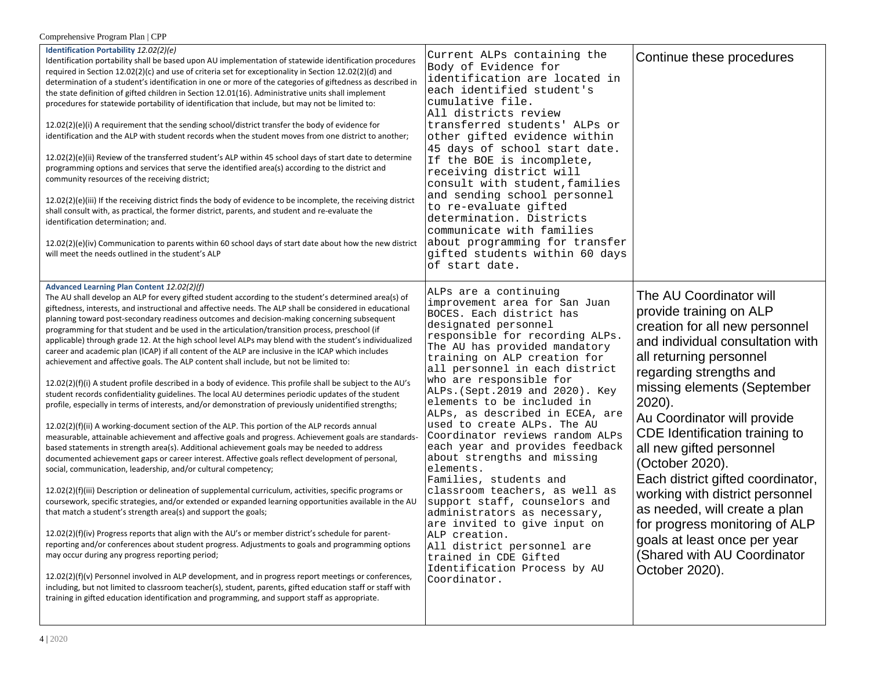| Comprehensive Program Plan   CPP                                                                                                                                                                                                                                                                                                                                                                                                                                                                                                                                                                                                                                                                                                                                                                                                                                                                                                                                                                                                                                                                                                                                                                                                                                                                                                                                                                                                                                                                                                                                                                                                                                                                                                                                                                                                                                                                                                                                                                                                                                                                                                                                                                                                                                                                                                                                                                                                                                             |                                                                                                                                                                                                                                                                                                                                                                                                                                                                                                                                                                                                                                                                                                                                                                                                                        |                                                                                                                                                                                                                                                                                                                                                                                                                                                                                                                                                                        |  |  |
|------------------------------------------------------------------------------------------------------------------------------------------------------------------------------------------------------------------------------------------------------------------------------------------------------------------------------------------------------------------------------------------------------------------------------------------------------------------------------------------------------------------------------------------------------------------------------------------------------------------------------------------------------------------------------------------------------------------------------------------------------------------------------------------------------------------------------------------------------------------------------------------------------------------------------------------------------------------------------------------------------------------------------------------------------------------------------------------------------------------------------------------------------------------------------------------------------------------------------------------------------------------------------------------------------------------------------------------------------------------------------------------------------------------------------------------------------------------------------------------------------------------------------------------------------------------------------------------------------------------------------------------------------------------------------------------------------------------------------------------------------------------------------------------------------------------------------------------------------------------------------------------------------------------------------------------------------------------------------------------------------------------------------------------------------------------------------------------------------------------------------------------------------------------------------------------------------------------------------------------------------------------------------------------------------------------------------------------------------------------------------------------------------------------------------------------------------------------------------|------------------------------------------------------------------------------------------------------------------------------------------------------------------------------------------------------------------------------------------------------------------------------------------------------------------------------------------------------------------------------------------------------------------------------------------------------------------------------------------------------------------------------------------------------------------------------------------------------------------------------------------------------------------------------------------------------------------------------------------------------------------------------------------------------------------------|------------------------------------------------------------------------------------------------------------------------------------------------------------------------------------------------------------------------------------------------------------------------------------------------------------------------------------------------------------------------------------------------------------------------------------------------------------------------------------------------------------------------------------------------------------------------|--|--|
| Identification Portability 12.02(2)(e)<br>Identification portability shall be based upon AU implementation of statewide identification procedures<br>required in Section 12.02(2)(c) and use of criteria set for exceptionality in Section 12.02(2)(d) and<br>determination of a student's identification in one or more of the categories of giftedness as described in<br>the state definition of gifted children in Section 12.01(16). Administrative units shall implement<br>procedures for statewide portability of identification that include, but may not be limited to:<br>12.02(2)(e)(i) A requirement that the sending school/district transfer the body of evidence for<br>identification and the ALP with student records when the student moves from one district to another;<br>12.02(2)(e)(ii) Review of the transferred student's ALP within 45 school days of start date to determine<br>programming options and services that serve the identified area(s) according to the district and<br>community resources of the receiving district;<br>$12.02(2)(e)(iii)$ If the receiving district finds the body of evidence to be incomplete, the receiving district<br>shall consult with, as practical, the former district, parents, and student and re-evaluate the<br>identification determination; and.<br>$12.02(2)(e)(iv)$ Communication to parents within 60 school days of start date about how the new district<br>will meet the needs outlined in the student's ALP                                                                                                                                                                                                                                                                                                                                                                                                                                                                                                                                                                                                                                                                                                                                                                                                                                                                                                                                                                                | Current ALPs containing the<br>Body of Evidence for<br>identification are located in<br>each identified student's<br>cumulative file.<br>All districts review<br>transferred students' ALPs or<br>other gifted evidence within<br>45 days of school start date.<br>If the BOE is incomplete,<br>receiving district will<br>consult with student, families<br>and sending school personnel<br>to re-evaluate gifted<br>determination. Districts<br>communicate with families<br>about programming for transfer<br>gifted students within 60 days<br>of start date.                                                                                                                                                                                                                                                      | Continue these procedures                                                                                                                                                                                                                                                                                                                                                                                                                                                                                                                                              |  |  |
| Advanced Learning Plan Content 12.02(2)(f)<br>The AU shall develop an ALP for every gifted student according to the student's determined area(s) of<br>giftedness, interests, and instructional and affective needs. The ALP shall be considered in educational<br>planning toward post-secondary readiness outcomes and decision-making concerning subsequent<br>programming for that student and be used in the articulation/transition process, preschool (if<br>applicable) through grade 12. At the high school level ALPs may blend with the student's individualized<br>career and academic plan (ICAP) if all content of the ALP are inclusive in the ICAP which includes<br>achievement and affective goals. The ALP content shall include, but not be limited to:<br>12.02(2)(f)(i) A student profile described in a body of evidence. This profile shall be subject to the AU's<br>student records confidentiality guidelines. The local AU determines periodic updates of the student<br>profile, especially in terms of interests, and/or demonstration of previously unidentified strengths;<br>12.02(2)(f)(ii) A working-document section of the ALP. This portion of the ALP records annual<br>measurable, attainable achievement and affective goals and progress. Achievement goals are standards-<br>based statements in strength area(s). Additional achievement goals may be needed to address<br>documented achievement gaps or career interest. Affective goals reflect development of personal,<br>social, communication, leadership, and/or cultural competency;<br>12.02(2)(f)(iii) Description or delineation of supplemental curriculum, activities, specific programs or<br>coursework, specific strategies, and/or extended or expanded learning opportunities available in the AU<br>that match a student's strength area(s) and support the goals;<br>12.02(2)(f)(iv) Progress reports that align with the AU's or member district's schedule for parent-<br>reporting and/or conferences about student progress. Adjustments to goals and programming options<br>may occur during any progress reporting period;<br>$12.02(2)(f)(v)$ Personnel involved in ALP development, and in progress report meetings or conferences,<br>including, but not limited to classroom teacher(s), student, parents, gifted education staff or staff with<br>training in gifted education identification and programming, and support staff as appropriate. | ALPs are a continuing<br>improvement area for San Juan<br>BOCES. Each district has<br>designated personnel<br>responsible for recording ALPs.<br>The AU has provided mandatory<br>training on ALP creation for<br>all personnel in each district<br>who are responsible for<br>ALPs. (Sept. 2019 and 2020). Key<br>elements to be included in<br>ALPs, as described in ECEA, are<br>used to create ALPs. The AU<br>Coordinator reviews random ALPs<br>each year and provides feedback<br>about strengths and missing<br>elements.<br>Families, students and<br>classroom teachers, as well as<br>support staff, counselors and<br>administrators as necessary,<br>are invited to give input on<br>ALP creation.<br>All district personnel are<br>trained in CDE Gifted<br>Identification Process by AU<br>Coordinator. | The AU Coordinator will<br>provide training on ALP<br>creation for all new personnel<br>and individual consultation with<br>all returning personnel<br>regarding strengths and<br>missing elements (September<br>$2020$ ).<br>Au Coordinator will provide<br>CDE Identification training to<br>all new gifted personnel<br>(October 2020).<br>Each district gifted coordinator,<br>working with district personnel<br>as needed, will create a plan<br>for progress monitoring of ALP<br>goals at least once per year<br>(Shared with AU Coordinator<br>October 2020). |  |  |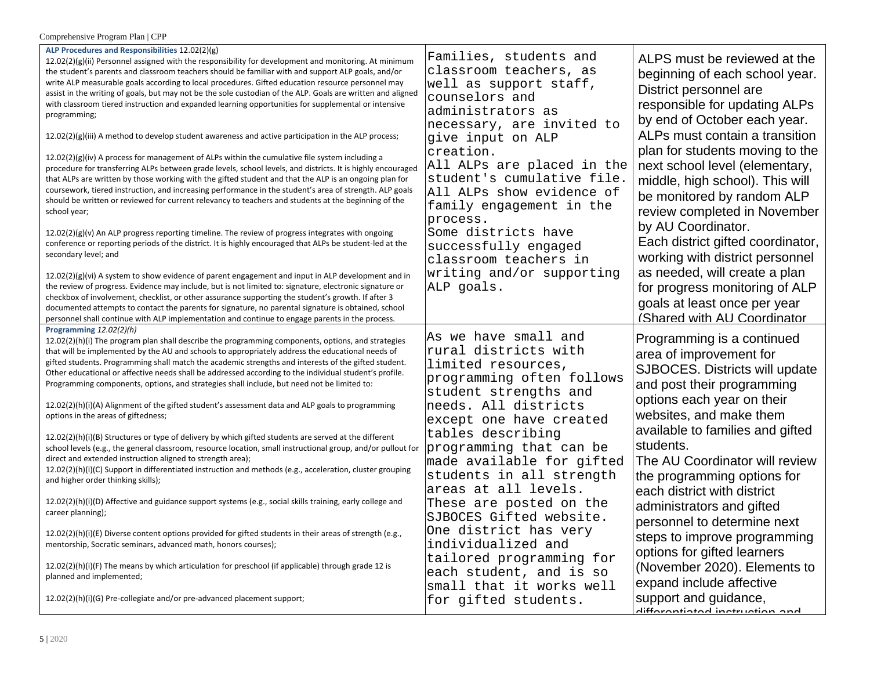| Comprehensive Program Plan   CPP                                                                                                                                                                                                                                                                                                                                                                                                                                                                                                                                                                                                                                                                                                                                                                                                                                                                                                                                                                                                                                                                                                                                                                                                                                                                                                                                                                                                                                                                                                                                                                                                                                                                                                                                                                                                                                                                                                                                                                                                                                   |                                                                                                                                                                                                                                                                                                                                                                                                                                                                                                                              |                                                                                                                                                                                                                                                                                                                                                                                                                                                                                                                                                                                                   |  |  |  |
|--------------------------------------------------------------------------------------------------------------------------------------------------------------------------------------------------------------------------------------------------------------------------------------------------------------------------------------------------------------------------------------------------------------------------------------------------------------------------------------------------------------------------------------------------------------------------------------------------------------------------------------------------------------------------------------------------------------------------------------------------------------------------------------------------------------------------------------------------------------------------------------------------------------------------------------------------------------------------------------------------------------------------------------------------------------------------------------------------------------------------------------------------------------------------------------------------------------------------------------------------------------------------------------------------------------------------------------------------------------------------------------------------------------------------------------------------------------------------------------------------------------------------------------------------------------------------------------------------------------------------------------------------------------------------------------------------------------------------------------------------------------------------------------------------------------------------------------------------------------------------------------------------------------------------------------------------------------------------------------------------------------------------------------------------------------------|------------------------------------------------------------------------------------------------------------------------------------------------------------------------------------------------------------------------------------------------------------------------------------------------------------------------------------------------------------------------------------------------------------------------------------------------------------------------------------------------------------------------------|---------------------------------------------------------------------------------------------------------------------------------------------------------------------------------------------------------------------------------------------------------------------------------------------------------------------------------------------------------------------------------------------------------------------------------------------------------------------------------------------------------------------------------------------------------------------------------------------------|--|--|--|
| ALP Procedures and Responsibilities 12.02(2)(g)<br>$12.02(2)(g)(ii)$ Personnel assigned with the responsibility for development and monitoring. At minimum<br>the student's parents and classroom teachers should be familiar with and support ALP goals, and/or<br>write ALP measurable goals according to local procedures. Gifted education resource personnel may<br>assist in the writing of goals, but may not be the sole custodian of the ALP. Goals are written and aligned<br>with classroom tiered instruction and expanded learning opportunities for supplemental or intensive<br>programming;<br>$12.02(2)(g)(iii)$ A method to develop student awareness and active participation in the ALP process;<br>$12.02(2)(g)(iv)$ A process for management of ALPs within the cumulative file system including a<br>procedure for transferring ALPs between grade levels, school levels, and districts. It is highly encouraged<br>that ALPs are written by those working with the gifted student and that the ALP is an ongoing plan for<br>coursework, tiered instruction, and increasing performance in the student's area of strength. ALP goals<br>should be written or reviewed for current relevancy to teachers and students at the beginning of the<br>school year;<br>$12.02(2)(g)(v)$ An ALP progress reporting timeline. The review of progress integrates with ongoing<br>conference or reporting periods of the district. It is highly encouraged that ALPs be student-led at the<br>secondary level; and<br>$12.02(2)(g)(vi)$ A system to show evidence of parent engagement and input in ALP development and in<br>the review of progress. Evidence may include, but is not limited to: signature, electronic signature or<br>checkbox of involvement, checklist, or other assurance supporting the student's growth. If after 3<br>documented attempts to contact the parents for signature, no parental signature is obtained, school<br>personnel shall continue with ALP implementation and continue to engage parents in the process. | Families, students and<br>classroom teachers, as<br>well as support staff,<br>counselors and<br>administrators as<br>necessary, are invited to<br>give input on ALP<br>creation.<br>All ALPs are placed in the<br>student's cumulative file.<br>All ALPs show evidence of<br>family engagement in the<br>process.<br>Some districts have<br>successfully engaged<br>classroom teachers in<br>writing and/or supporting<br>ALP goals.                                                                                         | ALPS must be reviewed at the<br>beginning of each school year.<br>District personnel are<br>responsible for updating ALPs<br>by end of October each year.<br>ALPs must contain a transition<br>plan for students moving to the<br>next school level (elementary,<br>middle, high school). This will<br>be monitored by random ALP<br>review completed in November<br>by AU Coordinator.<br>Each district gifted coordinator,<br>working with district personnel<br>as needed, will create a plan<br>for progress monitoring of ALP<br>goals at least once per year<br>(Shared with AU Coordinator |  |  |  |
| Programming 12.02(2)(h)<br>12.02(2)(h)(i) The program plan shall describe the programming components, options, and strategies<br>that will be implemented by the AU and schools to appropriately address the educational needs of<br>gifted students. Programming shall match the academic strengths and interests of the gifted student.<br>Other educational or affective needs shall be addressed according to the individual student's profile.<br>Programming components, options, and strategies shall include, but need not be limited to:<br>12.02(2)(h)(i)(A) Alignment of the gifted student's assessment data and ALP goals to programming<br>options in the areas of giftedness;<br>12.02(2)(h)(i)(B) Structures or type of delivery by which gifted students are served at the different<br>school levels (e.g., the general classroom, resource location, small instructional group, and/or pullout for<br>direct and extended instruction aligned to strength area);<br>12.02(2)(h)(i)(C) Support in differentiated instruction and methods (e.g., acceleration, cluster grouping<br>and higher order thinking skills);<br>12.02(2)(h)(i)(D) Affective and guidance support systems (e.g., social skills training, early college and<br>career planning);<br>$12.02(2)(h)(i)(E)$ Diverse content options provided for gifted students in their areas of strength (e.g.,<br>mentorship, Socratic seminars, advanced math, honors courses);<br>12.02(2)(h)(i)(F) The means by which articulation for preschool (if applicable) through grade 12 is<br>planned and implemented;<br>12.02(2)(h)(i)(G) Pre-collegiate and/or pre-advanced placement support;                                                                                                                                                                                                                                                                                                                                                                                             | As we have small and<br>rural districts with<br>limited resources,<br>programming often follows<br>student strengths and<br>needs. All districts<br>except one have created<br>tables describing<br>programming that can be<br>made available for gifted<br>students in all strength<br>areas at all levels.<br>These are posted on the<br>SJBOCES Gifted website.<br>One district has very<br>individualized and<br>tailored programming for<br>each student, and is so<br>small that it works well<br>for gifted students. | Programming is a continued<br>area of improvement for<br>SJBOCES. Districts will update<br>and post their programming<br>options each year on their<br>websites, and make them<br>available to families and gifted<br>students.<br>The AU Coordinator will review<br>the programming options for<br>each district with district<br>administrators and gifted<br>personnel to determine next<br>steps to improve programming<br>options for gifted learners<br>(November 2020). Elements to<br>expand include affective<br>support and guidance,<br><u>differentiated instruction and</u>          |  |  |  |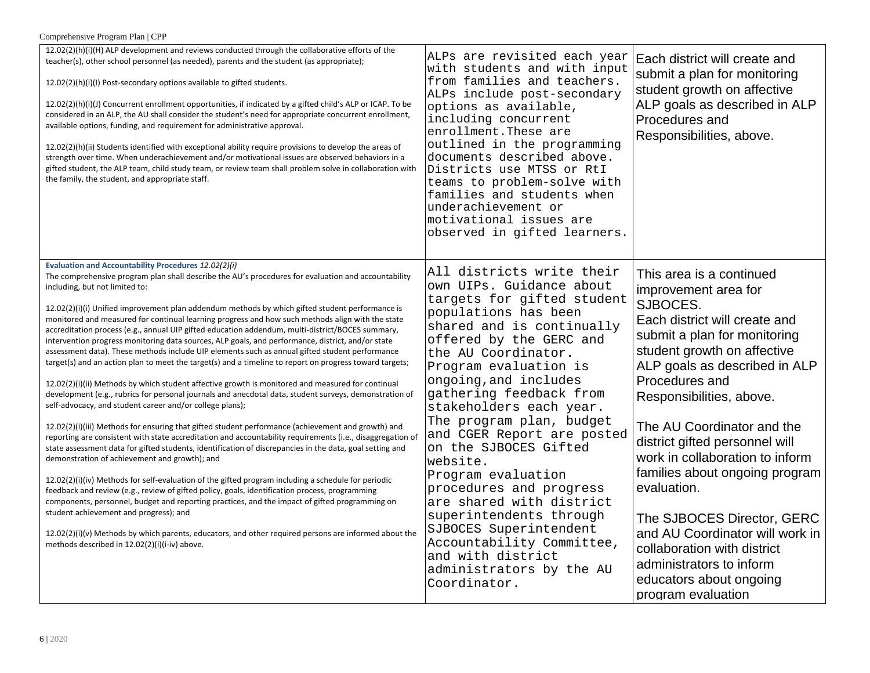| Comprehensive Program Plan   CPP |  |  |  |
|----------------------------------|--|--|--|
|----------------------------------|--|--|--|

| 12.02(2)(h)(i)(H) ALP development and reviews conducted through the collaborative efforts of the<br>teacher(s), other school personnel (as needed), parents and the student (as appropriate);<br>12.02(2)(h)(i)(l) Post-secondary options available to gifted students.<br>$12.02(2)(h)(i)(j)$ Concurrent enrollment opportunities, if indicated by a gifted child's ALP or ICAP. To be<br>considered in an ALP, the AU shall consider the student's need for appropriate concurrent enrollment,<br>available options, funding, and requirement for administrative approval.<br>12.02(2)(h)(ii) Students identified with exceptional ability require provisions to develop the areas of<br>strength over time. When underachievement and/or motivational issues are observed behaviors in a<br>gifted student, the ALP team, child study team, or review team shall problem solve in collaboration with<br>the family, the student, and appropriate staff.                                                                                                                                                                                                                                                                                                                                                                                                                                                                                                                                                                                                                                                                                                                                                                                                                                                                                                                                                                                                 | ALPs are revisited each year<br>with students and with input<br>from families and teachers.<br>ALPs include post-secondary<br>options as available,<br>including concurrent<br>enrollment. These are<br>outlined in the programming<br>documents described above.<br>Districts use MTSS or RtI<br>teams to problem-solve with<br>families and students when<br>underachievement or<br>motivational issues are<br>observed in gifted learners.                                                                                                                    | Each district will create and<br>submit a plan for monitoring<br>student growth on affective<br>ALP goals as described in ALP<br>Procedures and<br>Responsibilities, above.                                                                                                                                                                                                                                                                                      |
|------------------------------------------------------------------------------------------------------------------------------------------------------------------------------------------------------------------------------------------------------------------------------------------------------------------------------------------------------------------------------------------------------------------------------------------------------------------------------------------------------------------------------------------------------------------------------------------------------------------------------------------------------------------------------------------------------------------------------------------------------------------------------------------------------------------------------------------------------------------------------------------------------------------------------------------------------------------------------------------------------------------------------------------------------------------------------------------------------------------------------------------------------------------------------------------------------------------------------------------------------------------------------------------------------------------------------------------------------------------------------------------------------------------------------------------------------------------------------------------------------------------------------------------------------------------------------------------------------------------------------------------------------------------------------------------------------------------------------------------------------------------------------------------------------------------------------------------------------------------------------------------------------------------------------------------------------------|------------------------------------------------------------------------------------------------------------------------------------------------------------------------------------------------------------------------------------------------------------------------------------------------------------------------------------------------------------------------------------------------------------------------------------------------------------------------------------------------------------------------------------------------------------------|------------------------------------------------------------------------------------------------------------------------------------------------------------------------------------------------------------------------------------------------------------------------------------------------------------------------------------------------------------------------------------------------------------------------------------------------------------------|
| Evaluation and Accountability Procedures 12.02(2)(i)<br>The comprehensive program plan shall describe the AU's procedures for evaluation and accountability<br>including, but not limited to:<br>12.02(2)(i)(i) Unified improvement plan addendum methods by which gifted student performance is<br>monitored and measured for continual learning progress and how such methods align with the state<br>accreditation process (e.g., annual UIP gifted education addendum, multi-district/BOCES summary,<br>intervention progress monitoring data sources, ALP goals, and performance, district, and/or state<br>assessment data). These methods include UIP elements such as annual gifted student performance<br>target(s) and an action plan to meet the target(s) and a timeline to report on progress toward targets;<br>$12.02(2)(i)(ii)$ Methods by which student affective growth is monitored and measured for continual<br>development (e.g., rubrics for personal journals and anecdotal data, student surveys, demonstration of<br>self-advocacy, and student career and/or college plans);<br>12.02(2)(i)(iii) Methods for ensuring that gifted student performance (achievement and growth) and<br>reporting are consistent with state accreditation and accountability requirements (i.e., disaggregation of<br>state assessment data for gifted students, identification of discrepancies in the data, goal setting and<br>demonstration of achievement and growth); and<br>$12.02(2)(i)(iv)$ Methods for self-evaluation of the gifted program including a schedule for periodic<br>feedback and review (e.g., review of gifted policy, goals, identification process, programming<br>components, personnel, budget and reporting practices, and the impact of gifted programming on<br>student achievement and progress); and<br>$12.02(2)(i)(v)$ Methods by which parents, educators, and other required persons are informed about the | All districts write their<br>own UIPs. Guidance about<br>targets for gifted student<br>populations has been<br>shared and is continually<br>offered by the GERC and<br>the AU Coordinator.<br>Program evaluation is<br>ongoing, and includes<br>gathering feedback from<br>stakeholders each year.<br>The program plan, budget<br>and CGER Report are posted<br>on the SJBOCES Gifted<br>website.<br>Program evaluation<br>procedures and progress<br>are shared with district<br>superintendents through<br>SJBOCES Superintendent<br>Accountability Committee, | This area is a continued<br>improvement area for<br>SJBOCES.<br>Each district will create and<br>submit a plan for monitoring<br>student growth on affective<br>ALP goals as described in ALP<br>Procedures and<br>Responsibilities, above.<br>The AU Coordinator and the<br>district gifted personnel will<br>work in collaboration to inform<br>families about ongoing program<br>evaluation.<br>The SJBOCES Director, GERC<br>and AU Coordinator will work in |
| methods described in 12.02(2)(i)(i-iv) above.                                                                                                                                                                                                                                                                                                                                                                                                                                                                                                                                                                                                                                                                                                                                                                                                                                                                                                                                                                                                                                                                                                                                                                                                                                                                                                                                                                                                                                                                                                                                                                                                                                                                                                                                                                                                                                                                                                              | and with district<br>administrators by the AU<br>Coordinator.                                                                                                                                                                                                                                                                                                                                                                                                                                                                                                    | collaboration with district<br>administrators to inform<br>educators about ongoing<br>program evaluation                                                                                                                                                                                                                                                                                                                                                         |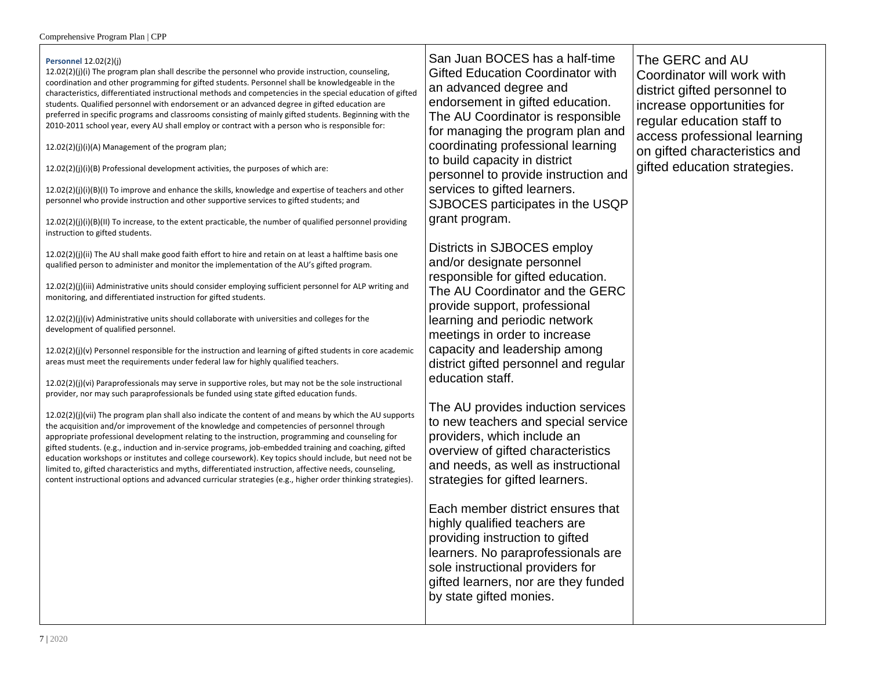## **Personnel** 12.02(2)(j)

12.02(2)(j)(i) The program plan shall describe the personnel who provide instruction, counseling, coordination and other programming for gifted students. Personnel shall be knowledgeable in the characteristics, differentiated instructional methods and competencies in the special education of gifted students. Qualified personnel with endorsement or an advanced degree in gifted education are preferred in specific programs and classrooms consisting of mainly gifted students. Beginning with the 2010-2011 school year, every AU shall employ or contract with a person who is responsible for:

12.02(2)(j)(i)(A) Management of the program plan;

12.02(2)(j)(i)(B) Professional development activities, the purposes of which are:

12.02(2)(j)(i)(B)(I) To improve and enhance the skills, knowledge and expertise of teachers and other personnel who provide instruction and other supportive services to gifted students; and

 $12.02(2)(j)(i)(B)(II)$  To increase, to the extent practicable, the number of qualified personnel providing instruction to gifted students.

12.02(2)(j)(ii) The AU shall make good faith effort to hire and retain on at least a halftime basis one qualified person to administer and monitor the implementation of the AU's gifted program.

12.02(2)(j)(iii) Administrative units should consider employing sufficient personnel for ALP writing and monitoring, and differentiated instruction for gifted students.

12.02(2)(j)(iv) Administrative units should collaborate with universities and colleges for the development of qualified personnel.

12.02(2)(j)(v) Personnel responsible for the instruction and learning of gifted students in core academic areas must meet the requirements under federal law for highly qualified teachers.

12.02(2)(j)(vi) Paraprofessionals may serve in supportive roles, but may not be the sole instructional provider, nor may such paraprofessionals be funded using state gifted education funds.

12.02(2)(j)(vii) The program plan shall also indicate the content of and means by which the AU supports the acquisition and/or improvement of the knowledge and competencies of personnel through appropriate professional development relating to the instruction, programming and counseling for gifted students. (e.g., induction and in-service programs, job-embedded training and coaching, gifted education workshops or institutes and college coursework). Key topics should include, but need not be limited to, gifted characteristics and myths, differentiated instruction, affective needs, counseling, content instructional options and advanced curricular strategies (e.g., higher order thinking strategies).

San Juan BOCES has a half-time Gifted Education Coordinator with an advanced degree and endorsement in gifted education. The AU Coordinator is responsible for managing the program plan and coordinating professional learning to build capacity in district personnel to provide instruction and services to gifted learners. SJBOCES participates in the USQP grant program.

Districts in SJBOCES employ and/or designate personnel responsible for gifted education. The AU Coordinator and the GERC provide support, professional learning and periodic network meetings in order to increase capacity and leadership among district gifted personnel and regular education staff.

The AU provides induction services to new teachers and special service providers, which include an overview of gifted characteristics and needs, as well as instructional strategies for gifted learners.

Each member district ensures that highly qualified teachers are providing instruction to gifted learners. No paraprofessionals are sole instructional providers for gifted learners, nor are they funded by state gifted monies.

The GERC and AU Coordinator will work with district gifted personnel to increase opportunities for regular education staff to access professional learning on gifted characteristics and gifted education strategies.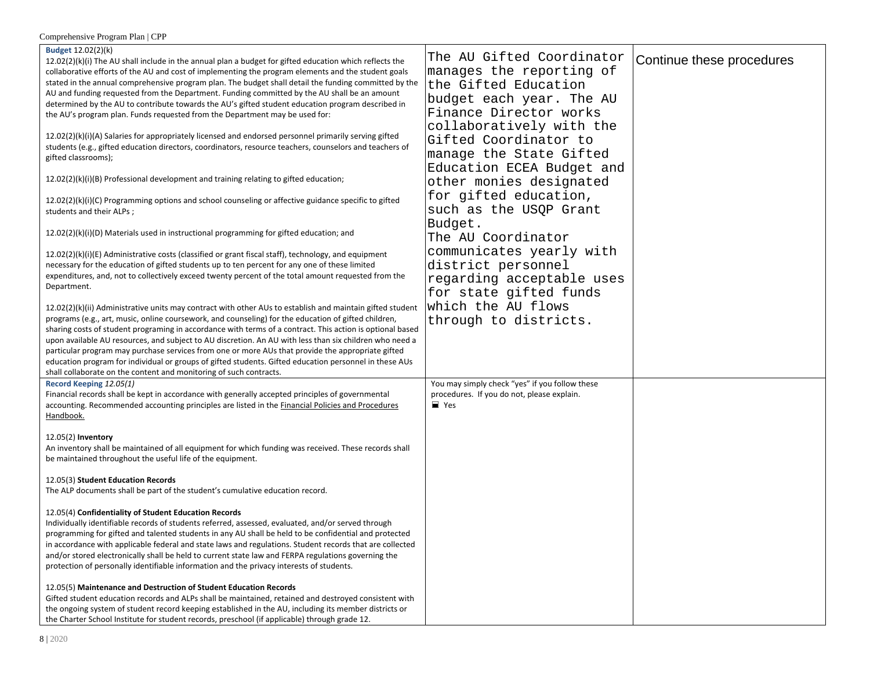| Comprehensive Program Plan   CPP                                                                                                                                                                                                                                                                                                                                                                                                                                                                                                                                                                                                                                                                                                                                                                                                                                                                                                                                                                                                                                                                                                                                                                                                                                                                                                                                                                                                                                                                                                                                                                                                                                                                                                                                                                                                                                                                                                                                                                                                                                                                                                                                                                                                                                          |                                                                                                                                                                                                                                                                                                                                                                                                                                                                                                                         |                           |
|---------------------------------------------------------------------------------------------------------------------------------------------------------------------------------------------------------------------------------------------------------------------------------------------------------------------------------------------------------------------------------------------------------------------------------------------------------------------------------------------------------------------------------------------------------------------------------------------------------------------------------------------------------------------------------------------------------------------------------------------------------------------------------------------------------------------------------------------------------------------------------------------------------------------------------------------------------------------------------------------------------------------------------------------------------------------------------------------------------------------------------------------------------------------------------------------------------------------------------------------------------------------------------------------------------------------------------------------------------------------------------------------------------------------------------------------------------------------------------------------------------------------------------------------------------------------------------------------------------------------------------------------------------------------------------------------------------------------------------------------------------------------------------------------------------------------------------------------------------------------------------------------------------------------------------------------------------------------------------------------------------------------------------------------------------------------------------------------------------------------------------------------------------------------------------------------------------------------------------------------------------------------------|-------------------------------------------------------------------------------------------------------------------------------------------------------------------------------------------------------------------------------------------------------------------------------------------------------------------------------------------------------------------------------------------------------------------------------------------------------------------------------------------------------------------------|---------------------------|
| Budget 12.02(2)(k)<br>$12.02(2)(k)(i)$ The AU shall include in the annual plan a budget for gifted education which reflects the<br>collaborative efforts of the AU and cost of implementing the program elements and the student goals<br>stated in the annual comprehensive program plan. The budget shall detail the funding committed by the<br>AU and funding requested from the Department. Funding committed by the AU shall be an amount<br>determined by the AU to contribute towards the AU's gifted student education program described in<br>the AU's program plan. Funds requested from the Department may be used for:<br>12.02(2)(k)(i)(A) Salaries for appropriately licensed and endorsed personnel primarily serving gifted<br>students (e.g., gifted education directors, coordinators, resource teachers, counselors and teachers of<br>gifted classrooms);<br>$12.02(2)(k)(i)(B)$ Professional development and training relating to gifted education;<br>12.02(2)(k)(i)(C) Programming options and school counseling or affective guidance specific to gifted<br>students and their ALPs;<br>12.02(2)(k)(i)(D) Materials used in instructional programming for gifted education; and<br>12.02(2)(k)(i)(E) Administrative costs (classified or grant fiscal staff), technology, and equipment<br>necessary for the education of gifted students up to ten percent for any one of these limited<br>expenditures, and, not to collectively exceed twenty percent of the total amount requested from the<br>Department.<br>12.02(2)(k)(ii) Administrative units may contract with other AUs to establish and maintain gifted student<br>programs (e.g., art, music, online coursework, and counseling) for the education of gifted children,<br>sharing costs of student programing in accordance with terms of a contract. This action is optional based<br>upon available AU resources, and subject to AU discretion. An AU with less than six children who need a<br>particular program may purchase services from one or more AUs that provide the appropriate gifted<br>education program for individual or groups of gifted students. Gifted education personnel in these AUs<br>shall collaborate on the content and monitoring of such contracts. | The AU Gifted Coordinator<br>manages the reporting of<br>the Gifted Education<br>budget each year. The AU<br>Finance Director works<br>collaboratively with the<br>Gifted Coordinator to<br>manage the State Gifted<br>Education ECEA Budget and<br>other monies designated<br>for gifted education,<br>such as the USQP Grant<br>Budget.<br>The AU Coordinator<br>communicates yearly with<br>district personnel<br>regarding acceptable uses<br>for state gifted funds<br>which the AU flows<br>through to districts. | Continue these procedures |
| Record Keeping 12.05(1)<br>Financial records shall be kept in accordance with generally accepted principles of governmental<br>accounting. Recommended accounting principles are listed in the <b>Financial Policies and Procedures</b><br>Handbook.<br>12.05(2) Inventory<br>An inventory shall be maintained of all equipment for which funding was received. These records shall<br>be maintained throughout the useful life of the equipment.                                                                                                                                                                                                                                                                                                                                                                                                                                                                                                                                                                                                                                                                                                                                                                                                                                                                                                                                                                                                                                                                                                                                                                                                                                                                                                                                                                                                                                                                                                                                                                                                                                                                                                                                                                                                                         | You may simply check "yes" if you follow these<br>procedures. If you do not, please explain.<br>$\equiv$ Yes                                                                                                                                                                                                                                                                                                                                                                                                            |                           |
| 12.05(3) Student Education Records<br>The ALP documents shall be part of the student's cumulative education record.                                                                                                                                                                                                                                                                                                                                                                                                                                                                                                                                                                                                                                                                                                                                                                                                                                                                                                                                                                                                                                                                                                                                                                                                                                                                                                                                                                                                                                                                                                                                                                                                                                                                                                                                                                                                                                                                                                                                                                                                                                                                                                                                                       |                                                                                                                                                                                                                                                                                                                                                                                                                                                                                                                         |                           |
| 12.05(4) Confidentiality of Student Education Records<br>Individually identifiable records of students referred, assessed, evaluated, and/or served through<br>programming for gifted and talented students in any AU shall be held to be confidential and protected<br>in accordance with applicable federal and state laws and regulations. Student records that are collected<br>and/or stored electronically shall be held to current state law and FERPA regulations governing the<br>protection of personally identifiable information and the privacy interests of students.                                                                                                                                                                                                                                                                                                                                                                                                                                                                                                                                                                                                                                                                                                                                                                                                                                                                                                                                                                                                                                                                                                                                                                                                                                                                                                                                                                                                                                                                                                                                                                                                                                                                                       |                                                                                                                                                                                                                                                                                                                                                                                                                                                                                                                         |                           |
| 12.05(5) Maintenance and Destruction of Student Education Records<br>Gifted student education records and ALPs shall be maintained, retained and destroyed consistent with<br>the ongoing system of student record keeping established in the AU, including its member districts or<br>the Charter School Institute for student records, preschool (if applicable) through grade 12.                                                                                                                                                                                                                                                                                                                                                                                                                                                                                                                                                                                                                                                                                                                                                                                                                                                                                                                                                                                                                                                                                                                                                                                                                                                                                                                                                                                                                                                                                                                                                                                                                                                                                                                                                                                                                                                                                      |                                                                                                                                                                                                                                                                                                                                                                                                                                                                                                                         |                           |